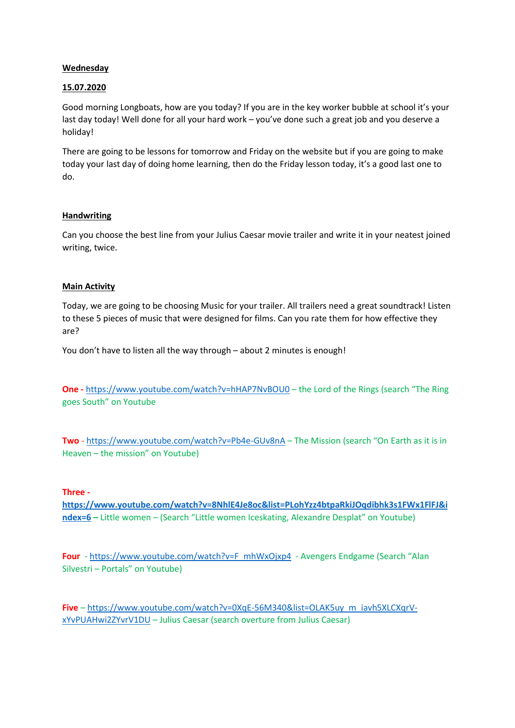# **Wednesday**

## 15.07.2020

Good morning Longboats, how are you today? If you are in the key worker bubble at school it's your last day today! Well done for all your hard work – you've done such a great job and you deserve a holiday!

There are going to be lessons for tomorrow and Friday on the website but if you are going to make today your last day of doing home learning, then do the Friday lesson today, it's a good last one to do.

## **Handwriting**

Can you choose the best line from your Julius Caesar movie trailer and write it in your neatest joined writing, twice.

## **Main Activity**

Today, we are going to be choosing Music for your trailer. All trailers need a great soundtrack! Listen to these 5 pieces of music that were designed for films. Can you rate them for how effective they are?

You don't have to listen all the way through – about 2 minutes is enough!

One - https://www.youtube.com/watch?v=hHAP7NvBOU0 – the Lord of the Rings (search "The Ring goes South" on Youtube

Two - https://www.youtube.com/watch?v=Pb4e-GUv8nA – The Mission (search "On Earth as it is in Heaven – the mission" on Youtube)

## Three -

https://www.youtube.com/watch?v=8NhlE4Je8oc&list=PLohYzz4btpaRkiJOqdibhk3s1FWx1FlFJ&i ndex=6 - Little women - (Search "Little women Iceskating, Alexandre Desplat" on Youtube)

Four - https://www.youtube.com/watch?v=F\_mhWxOjxp4 - Avengers Endgame (Search "Alan Silvestri – Portals" on Youtube)

Five - https://www.youtube.com/watch?v=0XqE-56M340&list=OLAK5uy\_m\_iavh5XLCXqrVxYvPUAHwi2ZYvrV1DU – Julius Caesar (search overture from Julius Caesar)